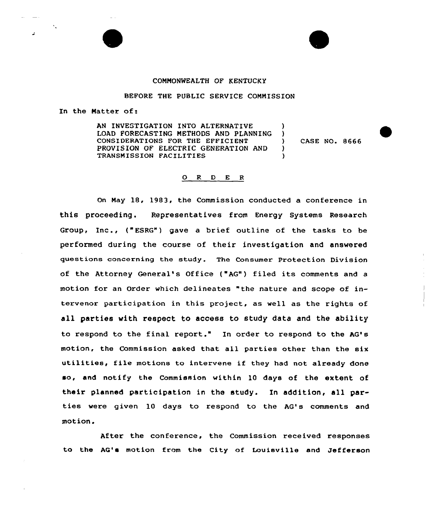# COMMONWEALTH QF KENTUCKY

# BEFORE THE PUBLIC SERVICE COMMISSION

In the Natter of:

AN INVESTIGATION INTO ALTERNATIVE LOAD FORECASTING METHODS AND PLANNING CONSIDERATIONS FOR THE EFFICIENT PROVISION OF ELECTRIC GENERATION AND TRANSMISSION FACILITIES )<br>) )

) CASE NO. 8666

)

)

# O R D E R

On Nay 18, 1983, the Commission conducted a conference in this proceeding. Representatives from Energy Systems Research Group, Inc., ("ESRG") gave <sup>a</sup> brief outline of the tasks to be performed during the course of their investigation and answered questions concerning the study. The Consumer Protection Division of the Attorney General's Office ("AG") filed its comments and <sup>a</sup> motion for an Order which delineates "the nature and scope of intervenor participation in this project, as well as the rights of all parties with respect to access to study data and the ability to respond to the final report." In order to respond to the AG's motion, the Commission asked that all parties other than the six utilities, file motions to intervene if they had not already done so, and notify the Commission within 10 days of the extent of their planned participation in the study. In addition, all parties were given 10 days to respond to the AG's comments and motion.

After the conference, the Commission received responses to the AG's motion from the City of Louisville and Jefferson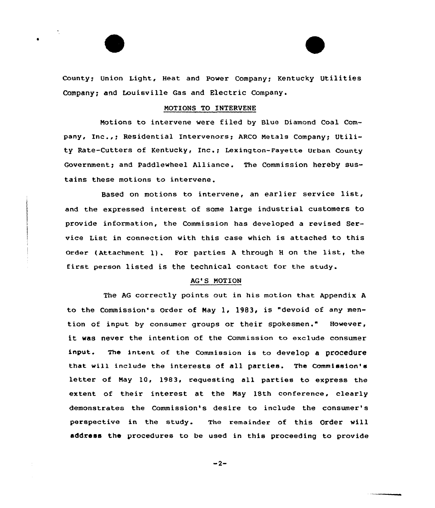# County; Union Light, Heat and Power Company; Kentucky Utilities Company; and Louisville Gas and Electric Company.

# NOTIONS TO INTERVENE

Motions to intervene were filed by Blue Diamond Coal Company, Inc.,; Residential Intervenors; ARCO Metals Company; Utility Rate-Cutters of Kentucky, Inc.; Lexington-Fayette Urban County Government; and Paddlewheel Alliance. The Commission hereby sustains these motions to intervene .

Based on motions to intervene, an earlier service list, and the expressed interest of some large industrial customers to provide information, the Commission has developed a revised Service List in connection with this case which is attached to this order (Attachment 1) . For parties <sup>A</sup> through <sup>H</sup> on the list, the first person listed is the technical contact for the study.

### AG'S MOTION

The AG correctly points out in his motion that Appendix <sup>A</sup> to the Commission's Order of May 1, 1983, is "devoid of any mention of input by consumer groups or their spokesmen." However, it was never the intention of the Commission to exclude consumer input. The intent of the commission is to develop a procedure that will include the interests of all parties. The Commission's letter of Nay 10, 1983, requesting all parties to express the extent of their interest at the Nay 18th conference, clearly demonstrates the Commission's desire to include the consumer' perspective in the study. The remainder of this Order will address the procedures to be used in this proceeding to provide

 $-2-$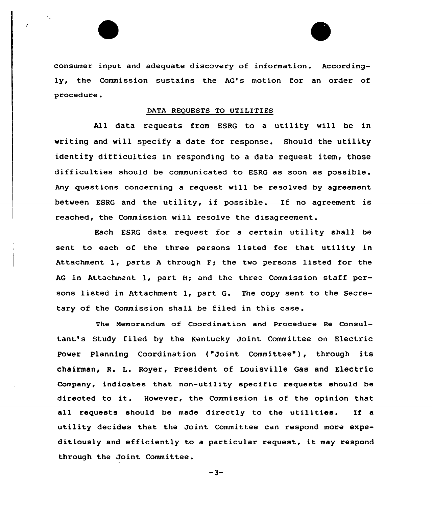consumer input and adequate discovery of information. Accordingly, the Commission sustains the AG's motion for an order of procedure.

 $\mathcal{L}$ 

# DATA REQUESTS TO UTILITIES

All data requests from ESRG to a utility will be in writing and will specify a date for response. Should the utility identify difficulties in responding to a data request item, those difficulties should be communicated to ESRG as soon as possible. Any questions concerning a request will be resolved by agreement between ESRG and the utility, if possible. If no agreement is reached, the Commission will resolve the disagreement.

Each ESRG data xequest for a certain utility shall be sent to each of the three pexsons listed for that utility in Attachment  $l$ , parts A through  $F$ ; the two persons listed for the AG in Attachment l, part H; and the three Commission staff persons listed in Attachment l, part G. The copy sent to the Secretaxy of the Commission shall be filed in this case.

The Memorandum of Coordination and Procedure Re Consultant's Study filed by the Kentucky Joint Committee on Electric Power Planning Coordination ("Joint Committee"), through its chairman, R. L. Royer, President of Louisville Gas and Electric Company, indicates that non-utility specific requests should be directed to it. However, the Commission is of the opinion that all requests should be made directly to the utilities. If <sup>a</sup> utility decides that the Joint Committee can respond more expeditiously and efficiently to <sup>a</sup> particular request, it may respond through the Joint Committee.

 $-3-$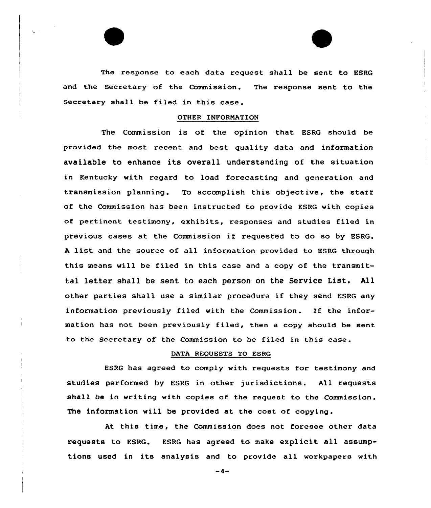The response to each data request shall be sent to ESRG and the Secretary of the Commission. The response sent to the Secretary shall be filed in this case.

### OTHER INFORNATION

The Commission is of the opinion that ESRG should be provided the most recent and best quality data and information available to enhance its overall understanding of the situation in Kentucky with regard to load forecasting and generation and transmission planning. To accomplish this objective, the staff of the Commission has been instructed to provide ESRG with copies of pertinent testimony, exhibits, responses and studies filed in previous cases at the Commission if requested to do so by EBRG. <sup>A</sup> list and the source of all information provided to ESRG through this means will be filed in this case and a copy of the transmittal letter shall be sent to each person on the Service List. All other parties shall use <sup>a</sup> similar procedure if they send ESRG any information previously filed with the Commission. If the information has not been previously filed, then <sup>a</sup> copy should be sent to the Secretary of the Commission to be filed in this case .

# DATA REQUESTS TO ESRG

ESRG has agreed to comply with requests for testimony and studies performed by ESRG in other jurisdictions. All requests shall be in writing with copies of the request to the Commission. The information will be provided at the cost of copying.

At this time, the Commission does not foresee other data requests to ESRG. ESRG has agreed to make explicit all assumptions used in its analysis and to provide all workpapers with

 $-4-$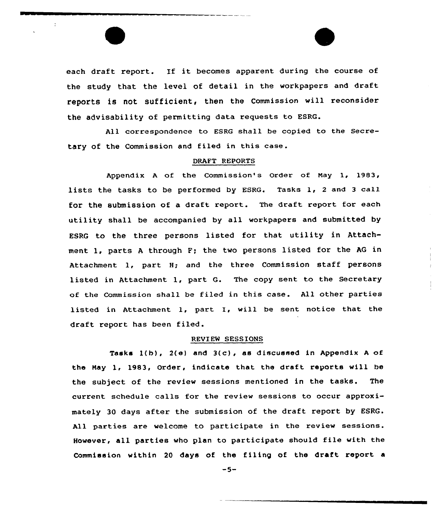each draft report. If it becomes apparent during the course of the study that the level of detail in the workpapers and draft reports is not sufficient, then the Commission will reconsider the advisability of permitting data requests to ESRG.

 $\cdot$ 

All correspondence to ESRG shall be copied to the Secretary of the Commission and filed in this case.

# DRAFT REPORTS

Appendix <sup>A</sup> of the Commission's Order of Nay 1, 1983, lists the tasks to be performed by ESRG. Tasks 1, <sup>2</sup> and <sup>3</sup> call for the submission of a draft report. The draft report for each utility shall be accompanied by all workpapers and submitted by ESRG to the three persons listed for that utility in Attachment 1, parts <sup>A</sup> through F; the two persons listed for the AG in Attachment 1, part H; and the three Commission staff persons listed in Attachment 1, part G. The copy sent to the Secretary of the Commission shall be filed in this case. All other parties listed in Attachment 1, part I, will be sent notice that the draft report has been filed.

# REVIEW SESSIONS

Tasks l(b), 2(e) and 3(c), as discussed in Appendix <sup>A</sup> of the May 1, 1983, Order, indicate that the draft reports will be the subject of the review sessions mentioned in the tasks. The current schedule calls for the review sessions to occur approximately 30 days after the submission of the draft report by ESRG. All parties are welcome to participate in the review sessions. However, all parties who plan to participate should file with the Commission within 20 days of the filing of the draft report a

-5-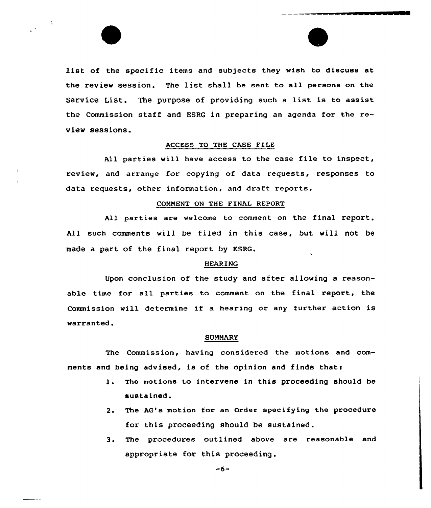list of the specific items and subjects they wish to discuss at the review session. The list shall be sent ta all persons on the Service List. The purpose of providing such <sup>a</sup> list is to assist the Commission staff and ESRQ in preparing an agenda for the review sessions.

 $\mathcal{A}$ 

# ACCESS TO THE CASE FILE

All parties will have access to the case file to inspect, review, and arrange for copying of data requests, responses to data requests, other information, and draft reports.

# COMMENT ON THE FINAI REPORT

All parties are welcome to comment on the final report. All such comments will be filed in this case, but will not be made a part of the final report by ESRG.

# HEARING

Upon conclusion af the study and after allowing a reasonable time for all parties to comment on the final report, the Commission will determine if <sup>a</sup> hearing or any further action is warranted.

#### SUMMARY

The Commission, having considered the motions and comments and being advised, is of the opinion and finds thats

- l. The motions to intervene in this proceeding should be sustained.
- 2. The AG's motion for an Order specifying the procedure for this proceeding should be sustained.
- 3. The procedures autlined above are reasonable and appropriate for this proceeding .

 $-6-$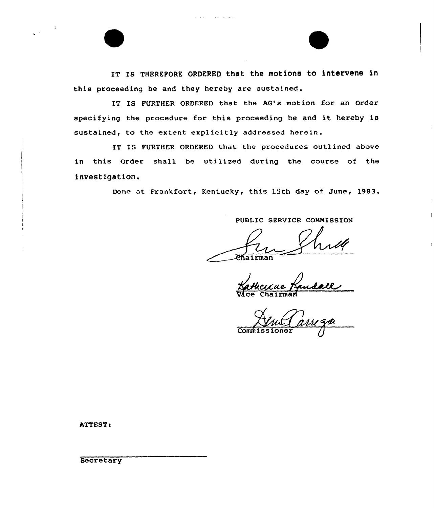IT IS THEREFORE ORDERED that the motions to intervene in this proceeding be and they hereby are sustained.

IT IS FURTHER ORDERED that the AQ's motion for an Order specifying the procedure for this proceeding be and it hereby is sustained, to the extent explicitly addressed herein.

IT IS FURTHER ORDERED that the procedures outlined above in this Order shall be utilized during the course of the investigation.

Done at Frankfort, Kentucky, this 15th day of June, 1983.

PUBLIC SERVICE COMMISSION

 $\|$ 

**Phairman** 

Cu,'u,e Vice Chairma

 $Comm:$ 

ATTEST:

**Secretary**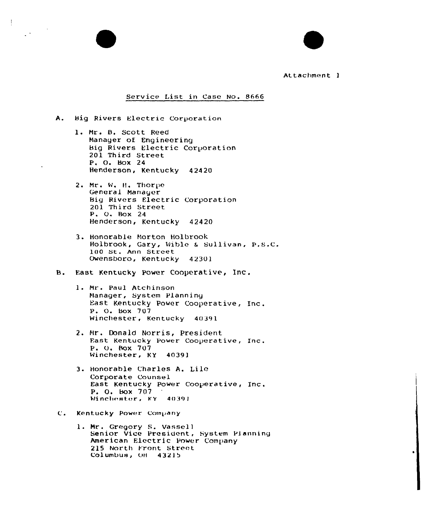# Attachment 1

# Service List in Case No. 8666

- A. Big Rivers Electric Corporation
	- 1. Mr. B. Scott Reed Manager of Eng ineering Big Rivers Electric Carporation 201 Third Street P. O. Hax 24 Henderson, Kentucky 42420
	- 2. Mr. W. H. Thorpe General Manager Big Rivers Electric Corporation 201 Third Street P. O. Box 24 Henderson, Kentucky 42420
	- 3. Honorable Morton Holbrook Holbrook, Gary, Wible & Sullivan, P.S.C. 100 St. Ann Street Owensboro, Kentucky 42301
- B. East Kentucky Power. Cooperative, Inc.
	- 1. Mr. Paul Atchinson Manager, System Planning East Kentucky Power Cooperative, Inc. P. O. Box 707 Winchester, Kentucky 40391
	- 2. Mr. Donald Norris, President Fast Kentucky Power Cooperative, Inc. P. O. Box 707 Winchester, KY 40391
	- 3. Honorable Charles A. Lile Corporate Counsel East Kentucky power Cooperative, Inc. P. O. Box 707 Winchester, KY 40391
- Kentucky Power Company
	- 1. Mr. Gregory S. Vassell Senior Vice President, System Planning American Electric Power Company 215 North Front Street Columbus, OH 43215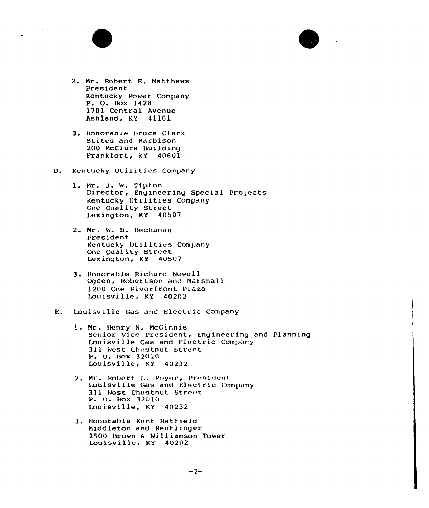

- 2. Mr. Robert E. Matthews President Kentucky Power Company P. O. Box 1428 1701 Central Avenue Ashland, KY 41101
- 3. Honorable Bruce Clark Stites and Harbison 200 McClure Building Frankfort, KY 40601
- D. Kentucky Utilities Company
	- 1. Mr. J. W. Tipton Director, Engineering Special Projects Kentucky Utilities Company One Quality Street Lexington, KY 40507
	- 2. Mr. W. B. Bechanan President Kentucky Utilities Company One Quality Street Lexington, KY 40507
	- 3. Honorable Richard Newell Ogden, Robertson and Marshall 1200 One Riverfront Plaza Louisville, KY 40202
- Louisville Gas and Electric Company E.
	- 1. Mr. Henry N. McGinnis Senior Vice President, Engineering and Planning Louisville Gas and Electric Company 311 West Chestnut Street P. O. Box 32010 Louisville, KY 40232
	- 2. Mr. Robert L. Royer, President Louisville Gas and Electric Company 311 West Chestnut Street P. O. Box 32010 Louisville, KY 40232
	- 3. Honorable Kent Hatfield Middleton and Reutlinger 2500 Brown & Williamson Tower Louisville, KY 40202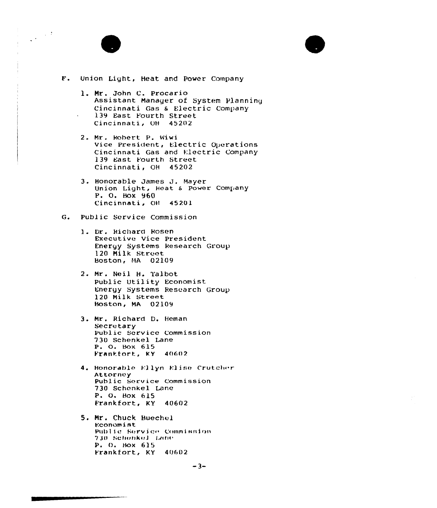

 $\frac{1}{2} \frac{1}{2} \frac{d}{dt}$ 

# F. Union Light, Heat and Power Company

- 1. Mr. John C. Procario Assistant Manager of System Planning Cincinnati Gas & Electric Company 139 East Fourth Street Cincinnati, OH 45202
- 2. Mr. Robert P. Wiwi Vice President, Electric Operations Cincinnati Gas and Electric Company 139 East Fourth Street Cincinnati, OH 45202
- 3. Honorable James J. Mayer Union Light, Heat & Power Company P. O. BOX 960 Cincinnati, OH 45201

#### G. Public Service Commission

- 1. Dr. Richard Rosen Executive Vice President Energy Systems Research Group 120 Milk Street Boston, MA 02109
- 2. Mr. Neil H. Talbot Public Utility Economist Energy Systems Research Group 120 Milk Street Boston, MA 02109
- 3. Mr. Richard D. Heman Secretary Public Service Commission 730 Schenkel Lane P. O. Box 615 Frankfort, KY 40602
- 4. Honorable Ellyn Elise Crutcher Attorney Public Service Commission 730 Schenkel Lane P. O. Box 615 Frankfort, KY 40602

5. Mr. Chuck Buechel Economist Public Service Commission 730 Schonkol Lane P. O. Box 615 Frankfort, KY 40602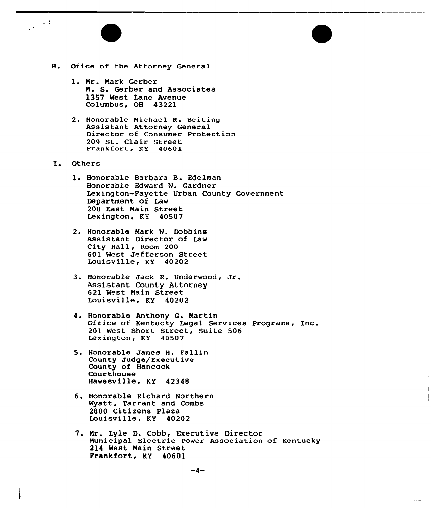

- H. Of ice of the Attorney General
	- 1. Mr. Mark Gerber N. S. Gerber and Associates 1357 West Lane Avenue Columbus, OH 43221
	- 2. Honorable Michael R. Beiting<br>Assistant Attorney General Director of Consumer Protection <sup>209</sup> St. Clair Street Frankfort, KY <sup>40601</sup>
- I. Others

 $\sim$  10  $\pm$  $\frac{1}{2}$  .

- 1. Honorable Barbara B. Edelman Honorable Edward W, Gardner Lexington-Fayette Urban County Government Department of Law 200 East Nain Street Lexington, KY 40507
- 2. Honorable Mark W. Dobbins Assistant Director of Law City Hall, Room 200 601 West Jefferson Street Louisville, KY 40202
- 3. Honorable Jack R. Underwood, Jr. Assistant County Attorney 621 West Main Street Louisville, KY 40202
- 4. Honorable Anthony G. Martin Office of Kentucky Legal Services Programs, Inc. 201 West Short Street, Suite 506 Lexington, KY 40507
- 5. Honorable James H. Fallin County Judge/Executive County of Hancock Courthouse Hawesville, KY 42348
- 6. Honorable Richard Northern Wyatt, Tarrant and Combs <sup>2800</sup> Citizens Plaza Louisville, KY <sup>40202</sup>
- 7. Mr. Lyle D. Cobb, Executive Director Municipal Electric Power Association of Kentucky 214 West Main Street Frankfort, KY 40601